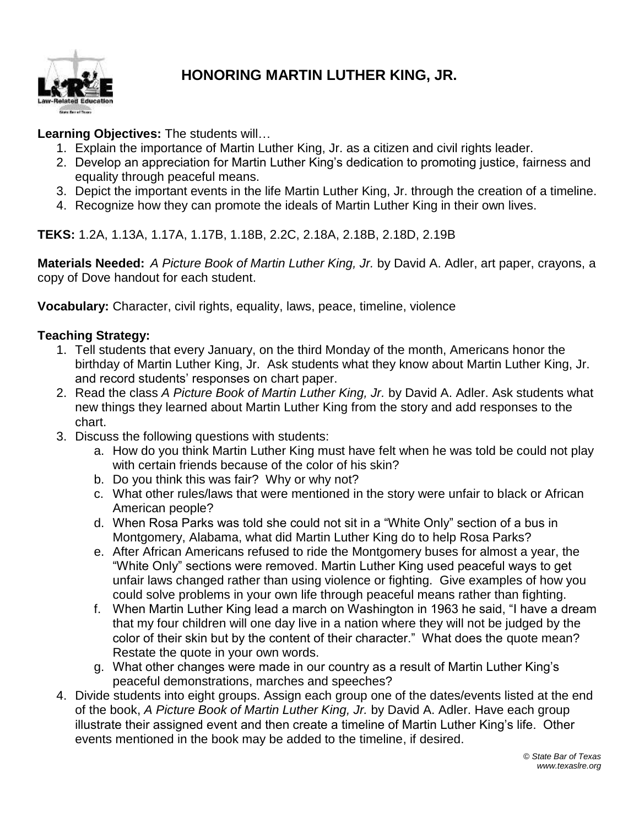

# **HONORING MARTIN LUTHER KING, JR.**

## **Learning Objectives:** The students will…

- 1. Explain the importance of Martin Luther King, Jr. as a citizen and civil rights leader.
- 2. Develop an appreciation for Martin Luther King's dedication to promoting justice, fairness and equality through peaceful means.
- 3. Depict the important events in the life Martin Luther King, Jr. through the creation of a timeline.
- 4. Recognize how they can promote the ideals of Martin Luther King in their own lives.

**TEKS:** 1.2A, 1.13A, 1.17A, 1.17B, 1.18B, 2.2C, 2.18A, 2.18B, 2.18D, 2.19B

**Materials Needed:** *A Picture Book of Martin Luther King, Jr.* by David A. Adler, art paper, crayons, a copy of Dove handout for each student.

**Vocabulary:** Character, civil rights, equality, laws, peace, timeline, violence

### **Teaching Strategy:**

- 1. Tell students that every January, on the third Monday of the month, Americans honor the birthday of Martin Luther King, Jr. Ask students what they know about Martin Luther King, Jr. and record students' responses on chart paper.
- 2. Read the class *A Picture Book of Martin Luther King, Jr.* by David A. Adler. Ask students what new things they learned about Martin Luther King from the story and add responses to the chart.
- 3. Discuss the following questions with students:
	- a. How do you think Martin Luther King must have felt when he was told be could not play with certain friends because of the color of his skin?
	- b. Do you think this was fair? Why or why not?
	- c. What other rules/laws that were mentioned in the story were unfair to black or African American people?
	- d. When Rosa Parks was told she could not sit in a "White Only" section of a bus in Montgomery, Alabama, what did Martin Luther King do to help Rosa Parks?
	- e. After African Americans refused to ride the Montgomery buses for almost a year, the "White Only" sections were removed. Martin Luther King used peaceful ways to get unfair laws changed rather than using violence or fighting. Give examples of how you could solve problems in your own life through peaceful means rather than fighting.
	- f. When Martin Luther King lead a march on Washington in 1963 he said, "I have a dream that my four children will one day live in a nation where they will not be judged by the color of their skin but by the content of their character." What does the quote mean? Restate the quote in your own words.
	- g. What other changes were made in our country as a result of Martin Luther King's peaceful demonstrations, marches and speeches?
- 4. Divide students into eight groups. Assign each group one of the dates/events listed at the end of the book, *A Picture Book of Martin Luther King, Jr.* by David A. Adler. Have each group illustrate their assigned event and then create a timeline of Martin Luther King's life. Other events mentioned in the book may be added to the timeline, if desired.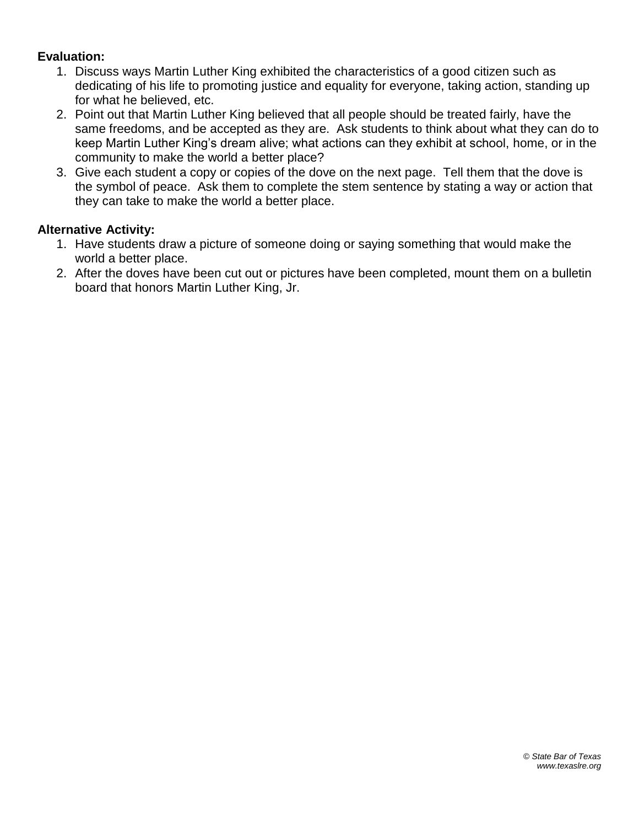#### **Evaluation:**

- 1. Discuss ways Martin Luther King exhibited the characteristics of a good citizen such as dedicating of his life to promoting justice and equality for everyone, taking action, standing up for what he believed, etc.
- 2. Point out that Martin Luther King believed that all people should be treated fairly, have the same freedoms, and be accepted as they are. Ask students to think about what they can do to keep Martin Luther King's dream alive; what actions can they exhibit at school, home, or in the community to make the world a better place?
- 3. Give each student a copy or copies of the dove on the next page. Tell them that the dove is the symbol of peace. Ask them to complete the stem sentence by stating a way or action that they can take to make the world a better place.

#### **Alternative Activity:**

- 1. Have students draw a picture of someone doing or saying something that would make the world a better place.
- 2. After the doves have been cut out or pictures have been completed, mount them on a bulletin board that honors Martin Luther King, Jr.